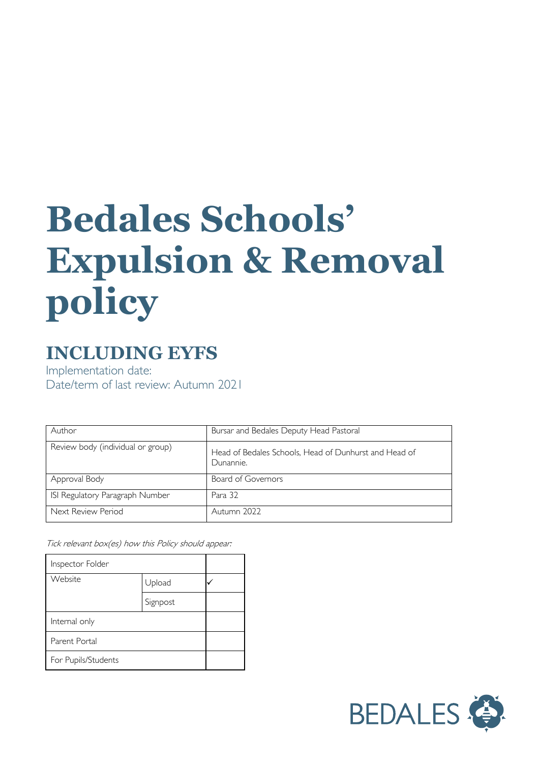# **Bedales Schools' Expulsion & Removal policy**

# **INCLUDING EYFS**

Implementation date: Date/term of last review: Autumn 2021

| Author                            | Bursar and Bedales Deputy Head Pastoral                            |
|-----------------------------------|--------------------------------------------------------------------|
| Review body (individual or group) | Head of Bedales Schools, Head of Dunhurst and Head of<br>Dunannie. |
| Approval Body                     | Board of Governors                                                 |
| ISI Regulatory Paragraph Number   | Para 32                                                            |
| Next Review Period                | Autumn 2022                                                        |

Tick relevant box(es) how this Policy should appear:

| Inspector Folder    |          |  |
|---------------------|----------|--|
| Website             | Upload   |  |
|                     | Signpost |  |
| Internal only       |          |  |
| Parent Portal       |          |  |
| For Pupils/Students |          |  |

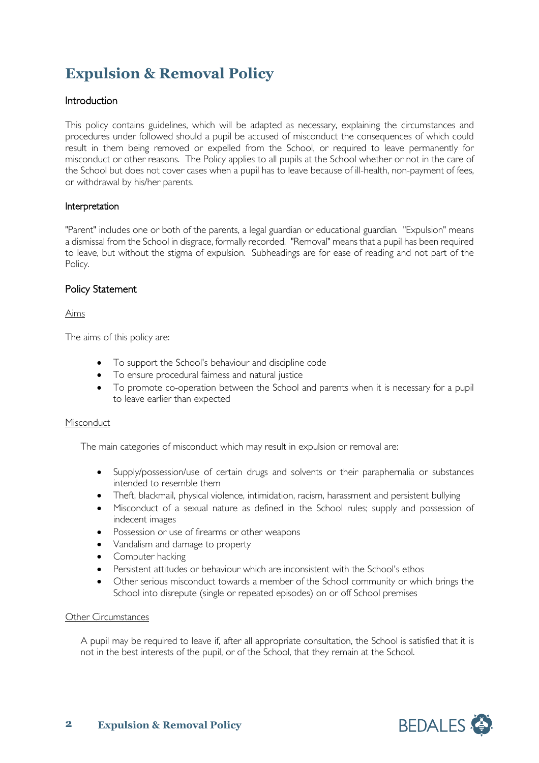# **Expulsion & Removal Policy**

# **Introduction**

This policy contains guidelines, which will be adapted as necessary, explaining the circumstances and procedures under followed should a pupil be accused of misconduct the consequences of which could result in them being removed or expelled from the School, or required to leave permanently for misconduct or other reasons. The Policy applies to all pupils at the School whether or not in the care of the School but does not cover cases when a pupil has to leave because of ill-health, non-payment of fees, or withdrawal by his/her parents.

#### Interpretation

"Parent" includes one or both of the parents, a legal guardian or educational guardian. "Expulsion" means a dismissal from the School in disgrace, formally recorded. "Removal" means that a pupil has been required to leave, but without the stigma of expulsion. Subheadings are for ease of reading and not part of the Policy.

## Policy Statement

#### Aims

The aims of this policy are:

- To support the School's behaviour and discipline code
- To ensure procedural fairness and natural justice
- To promote co-operation between the School and parents when it is necessary for a pupil to leave earlier than expected

#### Misconduct

The main categories of misconduct which may result in expulsion or removal are:

- Supply/possession/use of certain drugs and solvents or their paraphernalia or substances intended to resemble them
- Theft, blackmail, physical violence, intimidation, racism, harassment and persistent bullying
- Misconduct of a sexual nature as defined in the School rules; supply and possession of indecent images
- Possession or use of firearms or other weapons
- Vandalism and damage to property
- Computer hacking
- Persistent attitudes or behaviour which are inconsistent with the School's ethos
- Other serious misconduct towards a member of the School community or which brings the School into disrepute (single or repeated episodes) on or off School premises

#### Other Circumstances

A pupil may be required to leave if, after all appropriate consultation, the School is satisfied that it is not in the best interests of the pupil, or of the School, that they remain at the School.

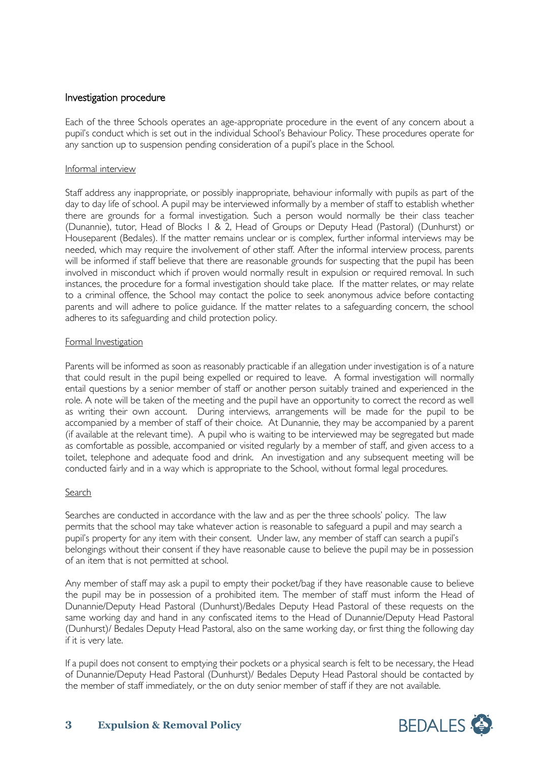## Investigation procedure

Each of the three Schools operates an age-appropriate procedure in the event of any concern about a pupil's conduct which is set out in the individual School's Behaviour Policy. These procedures operate for any sanction up to suspension pending consideration of a pupil's place in the School.

#### Informal interview

Staff address any inappropriate, or possibly inappropriate, behaviour informally with pupils as part of the day to day life of school. A pupil may be interviewed informally by a member of staff to establish whether there are grounds for a formal investigation. Such a person would normally be their class teacher (Dunannie), tutor, Head of Blocks 1 & 2, Head of Groups or Deputy Head (Pastoral) (Dunhurst) or Houseparent (Bedales). If the matter remains unclear or is complex, further informal interviews may be needed, which may require the involvement of other staff. After the informal interview process, parents will be informed if staff believe that there are reasonable grounds for suspecting that the pupil has been involved in misconduct which if proven would normally result in expulsion or required removal. In such instances, the procedure for a formal investigation should take place. If the matter relates, or may relate to a criminal offence, the School may contact the police to seek anonymous advice before contacting parents and will adhere to police guidance. If the matter relates to a safeguarding concern, the school adheres to its safeguarding and child protection policy.

#### Formal Investigation

Parents will be informed as soon as reasonably practicable if an allegation under investigation is of a nature that could result in the pupil being expelled or required to leave. A formal investigation will normally entail questions by a senior member of staff or another person suitably trained and experienced in the role. A note will be taken of the meeting and the pupil have an opportunity to correct the record as well as writing their own account. During interviews, arrangements will be made for the pupil to be accompanied by a member of staff of their choice. At Dunannie, they may be accompanied by a parent (if available at the relevant time). A pupil who is waiting to be interviewed may be segregated but made as comfortable as possible, accompanied or visited regularly by a member of staff, and given access to a toilet, telephone and adequate food and drink. An investigation and any subsequent meeting will be conducted fairly and in a way which is appropriate to the School, without formal legal procedures.

## **Search**

Searches are conducted in accordance with the law and as per the three schools' policy. The law permits that the school may take whatever action is reasonable to safeguard a pupil and may search a pupil's property for any item with their consent. Under law, any member of staff can search a pupil's belongings without their consent if they have reasonable cause to believe the pupil may be in possession of an item that is not permitted at school.

Any member of staff may ask a pupil to empty their pocket/bag if they have reasonable cause to believe the pupil may be in possession of a prohibited item. The member of staff must inform the Head of Dunannie/Deputy Head Pastoral (Dunhurst)/Bedales Deputy Head Pastoral of these requests on the same working day and hand in any confiscated items to the Head of Dunannie/Deputy Head Pastoral (Dunhurst)/ Bedales Deputy Head Pastoral, also on the same working day, or first thing the following day if it is very late.

If a pupil does not consent to emptying their pockets or a physical search is felt to be necessary, the Head of Dunannie/Deputy Head Pastoral (Dunhurst)/ Bedales Deputy Head Pastoral should be contacted by the member of staff immediately, or the on duty senior member of staff if they are not available.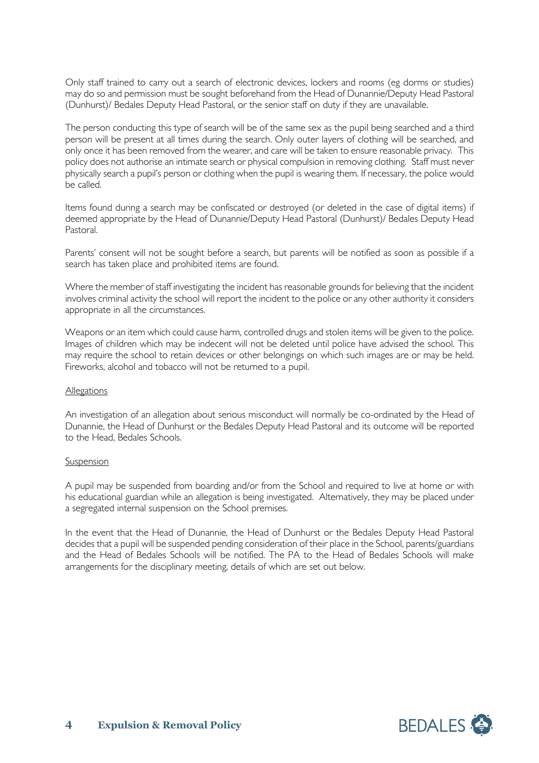Only staff trained to carry out a search of electronic devices, lockers and rooms (eg dorms or studies) may do so and permission must be sought beforehand from the Head of Dunannie/Deputy Head Pastoral (Dunhurst)/ Bedales Deputy Head Pastoral, or the senior staff on duty if they are unavailable.

The person conducting this type of search will be of the same sex as the pupil being searched and a third person will be present at all times during the search. Only outer layers of clothing will be searched, and only once it has been removed from the wearer, and care will be taken to ensure reasonable privacy. This policy does not authorise an intimate search or physical compulsion in removing clothing. Staff must never physically search a pupil's person or clothing when the pupil is wearing them. If necessary, the police would be called.

Items found during a search may be confiscated or destroyed (or deleted in the case of digital items) if deemed appropriate by the Head of Dunannie/Deputy Head Pastoral (Dunhurst)/ Bedales Deputy Head Pastoral.

Parents' consent will not be sought before a search, but parents will be notified as soon as possible if a search has taken place and prohibited items are found.

Where the member of staff investigating the incident has reasonable grounds for believing that the incident involves criminal activity the school will report the incident to the police or any other authority it considers appropriate in all the circumstances.

Weapons or an item which could cause harm, controlled drugs and stolen items will be given to the police. Images of children which may be indecent will not be deleted until police have advised the school. This may require the school to retain devices or other belongings on which such images are or may be held. Fireworks, alcohol and tobacco will not be returned to a pupil.

#### **Allegations**

An investigation of an allegation about serious misconduct will normally be co-ordinated by the Head of Dunannie, the Head of Dunhurst or the Bedales Deputy Head Pastoral and its outcome will be reported to the Head, Bedales Schools.

#### Suspension

A pupil may be suspended from boarding and/or from the School and required to live at home or with his educational guardian while an allegation is being investigated. Alternatively, they may be placed under a segregated internal suspension on the School premises.

In the event that the Head of Dunannie, the Head of Dunhurst or the Bedales Deputy Head Pastoral decides that a pupil will be suspended pending consideration of their place in the School, parents/guardians and the Head of Bedales Schools will be notified. The PA to the Head of Bedales Schools will make arrangements for the disciplinary meeting, details of which are set out below.

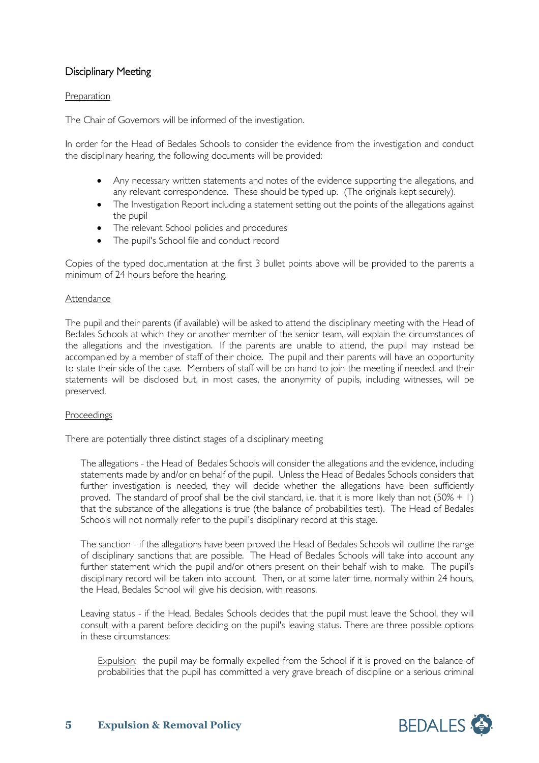# Disciplinary Meeting

#### Preparation

The Chair of Governors will be informed of the investigation.

In order for the Head of Bedales Schools to consider the evidence from the investigation and conduct the disciplinary hearing, the following documents will be provided:

- Any necessary written statements and notes of the evidence supporting the allegations, and any relevant correspondence. These should be typed up. (The originals kept securely).
- The Investigation Report including a statement setting out the points of the allegations against the pupil
- The relevant School policies and procedures
- The pupil's School file and conduct record

Copies of the typed documentation at the first 3 bullet points above will be provided to the parents a minimum of 24 hours before the hearing.

#### Attendance

The pupil and their parents (if available) will be asked to attend the disciplinary meeting with the Head of Bedales Schools at which they or another member of the senior team, will explain the circumstances of the allegations and the investigation. If the parents are unable to attend, the pupil may instead be accompanied by a member of staff of their choice. The pupil and their parents will have an opportunity to state their side of the case. Members of staff will be on hand to join the meeting if needed, and their statements will be disclosed but, in most cases, the anonymity of pupils, including witnesses, will be preserved.

#### **Proceedings**

There are potentially three distinct stages of a disciplinary meeting

The allegations - the Head of Bedales Schools will consider the allegations and the evidence, including statements made by and/or on behalf of the pupil. Unless the Head of Bedales Schools considers that further investigation is needed, they will decide whether the allegations have been sufficiently proved. The standard of proof shall be the civil standard, i.e. that it is more likely than not  $(50\% + 1)$ that the substance of the allegations is true (the balance of probabilities test). The Head of Bedales Schools will not normally refer to the pupil's disciplinary record at this stage.

The sanction - if the allegations have been proved the Head of Bedales Schools will outline the range of disciplinary sanctions that are possible. The Head of Bedales Schools will take into account any further statement which the pupil and/or others present on their behalf wish to make. The pupil's disciplinary record will be taken into account. Then, or at some later time, normally within 24 hours, the Head, Bedales School will give his decision, with reasons.

Leaving status - if the Head, Bedales Schools decides that the pupil must leave the School, they will consult with a parent before deciding on the pupil's leaving status. There are three possible options in these circumstances:

Expulsion: the pupil may be formally expelled from the School if it is proved on the balance of probabilities that the pupil has committed a very grave breach of discipline or a serious criminal

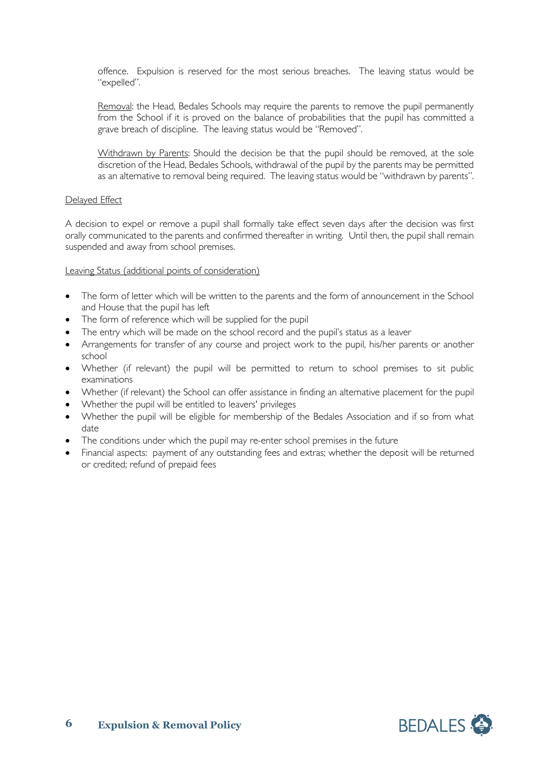offence. Expulsion is reserved for the most serious breaches. The leaving status would be "expelled".

Removal: the Head, Bedales Schools may require the parents to remove the pupil permanently from the School if it is proved on the balance of probabilities that the pupil has committed a grave breach of discipline. The leaving status would be "Removed".

Withdrawn by Parents: Should the decision be that the pupil should be removed, at the sole discretion of the Head, Bedales Schools, withdrawal of the pupil by the parents may be permitted as an alternative to removal being required. The leaving status would be "withdrawn by parents".

#### Delayed Effect

A decision to expel or remove a pupil shall formally take effect seven days after the decision was first orally communicated to the parents and confirmed thereafter in writing. Until then, the pupil shall remain suspended and away from school premises.

#### Leaving Status (additional points of consideration)

- The form of letter which will be written to the parents and the form of announcement in the School and House that the pupil has left
- The form of reference which will be supplied for the pupil
- The entry which will be made on the school record and the pupil's status as a leaver
- Arrangements for transfer of any course and project work to the pupil, his/her parents or another school
- Whether (if relevant) the pupil will be permitted to return to school premises to sit public examinations
- Whether (if relevant) the School can offer assistance in finding an alternative placement for the pupil
- Whether the pupil will be entitled to leavers' privileges
- Whether the pupil will be eligible for membership of the Bedales Association and if so from what date
- The conditions under which the pupil may re-enter school premises in the future
- Financial aspects: payment of any outstanding fees and extras; whether the deposit will be returned or credited; refund of prepaid fees

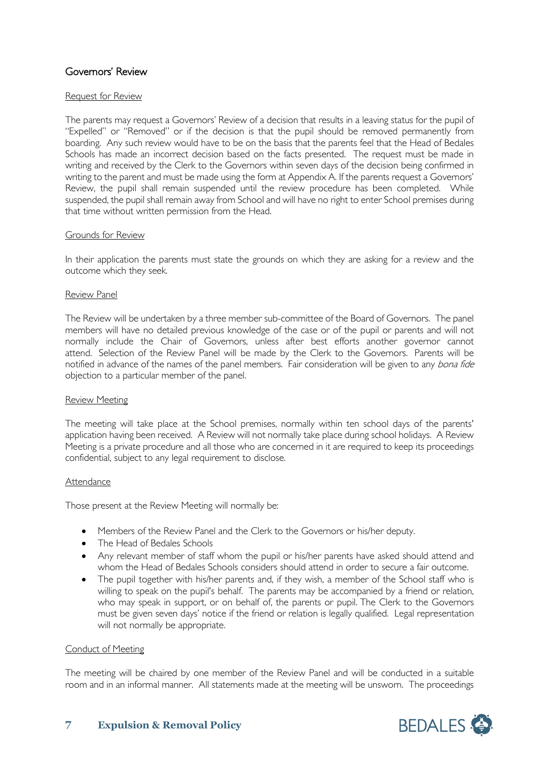# Governors' Review

#### Request for Review

The parents may request a Governors' Review of a decision that results in a leaving status for the pupil of "Expelled" or "Removed" or if the decision is that the pupil should be removed permanently from boarding. Any such review would have to be on the basis that the parents feel that the Head of Bedales Schools has made an incorrect decision based on the facts presented. The request must be made in writing and received by the Clerk to the Governors within seven days of the decision being confirmed in writing to the parent and must be made using the form at Appendix A. If the parents request a Governors' Review, the pupil shall remain suspended until the review procedure has been completed. While suspended, the pupil shall remain away from School and will have no right to enter School premises during that time without written permission from the Head.

#### Grounds for Review

In their application the parents must state the grounds on which they are asking for a review and the outcome which they seek.

#### Review Panel

The Review will be undertaken by a three member sub-committee of the Board of Governors. The panel members will have no detailed previous knowledge of the case or of the pupil or parents and will not normally include the Chair of Governors, unless after best efforts another governor cannot attend. Selection of the Review Panel will be made by the Clerk to the Governors. Parents will be notified in advance of the names of the panel members. Fair consideration will be given to any bona fide objection to a particular member of the panel.

#### Review Meeting

The meeting will take place at the School premises, normally within ten school days of the parents' application having been received. A Review will not normally take place during school holidays. A Review Meeting is a private procedure and all those who are concerned in it are required to keep its proceedings confidential, subject to any legal requirement to disclose.

#### **Attendance**

Those present at the Review Meeting will normally be:

- Members of the Review Panel and the Clerk to the Governors or his/her deputy.
- The Head of Bedales Schools
- Any relevant member of staff whom the pupil or his/her parents have asked should attend and whom the Head of Bedales Schools considers should attend in order to secure a fair outcome.
- The pupil together with his/her parents and, if they wish, a member of the School staff who is willing to speak on the pupil's behalf. The parents may be accompanied by a friend or relation, who may speak in support, or on behalf of, the parents or pupil. The Clerk to the Governors must be given seven days' notice if the friend or relation is legally qualified. Legal representation will not normally be appropriate.

#### Conduct of Meeting

The meeting will be chaired by one member of the Review Panel and will be conducted in a suitable room and in an informal manner. All statements made at the meeting will be unsworn. The proceedings

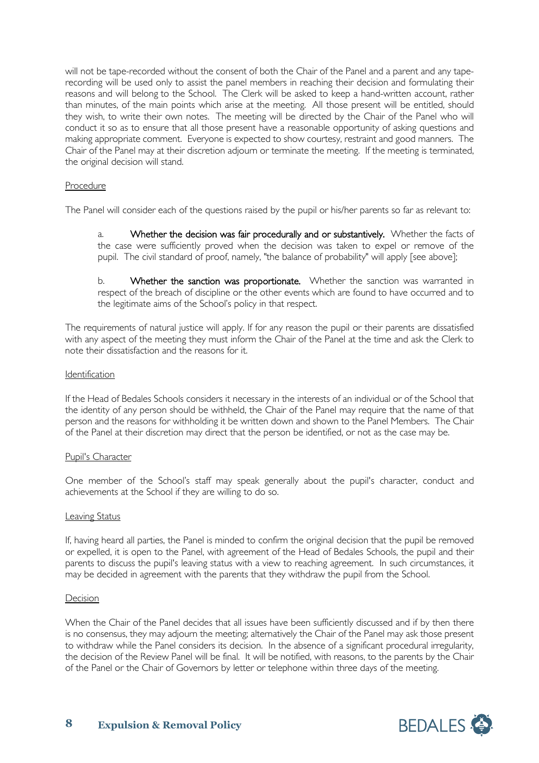will not be tape-recorded without the consent of both the Chair of the Panel and a parent and any taperecording will be used only to assist the panel members in reaching their decision and formulating their reasons and will belong to the School. The Clerk will be asked to keep a hand-written account, rather than minutes, of the main points which arise at the meeting. All those present will be entitled, should they wish, to write their own notes. The meeting will be directed by the Chair of the Panel who will conduct it so as to ensure that all those present have a reasonable opportunity of asking questions and making appropriate comment. Everyone is expected to show courtesy, restraint and good manners. The Chair of the Panel may at their discretion adjourn or terminate the meeting. If the meeting is terminated, the original decision will stand.

#### Procedure

The Panel will consider each of the questions raised by the pupil or his/her parents so far as relevant to:

a. Whether the decision was fair procedurally and or substantively. Whether the facts of the case were sufficiently proved when the decision was taken to expel or remove of the pupil. The civil standard of proof, namely, "the balance of probability" will apply [see above];

b. Whether the sanction was proportionate. Whether the sanction was warranted in respect of the breach of discipline or the other events which are found to have occurred and to the legitimate aims of the School's policy in that respect.

The requirements of natural justice will apply. If for any reason the pupil or their parents are dissatisfied with any aspect of the meeting they must inform the Chair of the Panel at the time and ask the Clerk to note their dissatisfaction and the reasons for it.

#### **Identification**

If the Head of Bedales Schools considers it necessary in the interests of an individual or of the School that the identity of any person should be withheld, the Chair of the Panel may require that the name of that person and the reasons for withholding it be written down and shown to the Panel Members. The Chair of the Panel at their discretion may direct that the person be identified, or not as the case may be.

#### Pupil's Character

One member of the School's staff may speak generally about the pupil's character, conduct and achievements at the School if they are willing to do so.

#### **Leaving Status**

If, having heard all parties, the Panel is minded to confirm the original decision that the pupil be removed or expelled, it is open to the Panel, with agreement of the Head of Bedales Schools, the pupil and their parents to discuss the pupil's leaving status with a view to reaching agreement. In such circumstances, it may be decided in agreement with the parents that they withdraw the pupil from the School.

#### **Decision**

When the Chair of the Panel decides that all issues have been sufficiently discussed and if by then there is no consensus, they may adjourn the meeting; alternatively the Chair of the Panel may ask those present to withdraw while the Panel considers its decision. In the absence of a significant procedural irregularity, the decision of the Review Panel will be final. It will be notified, with reasons, to the parents by the Chair of the Panel or the Chair of Governors by letter or telephone within three days of the meeting.

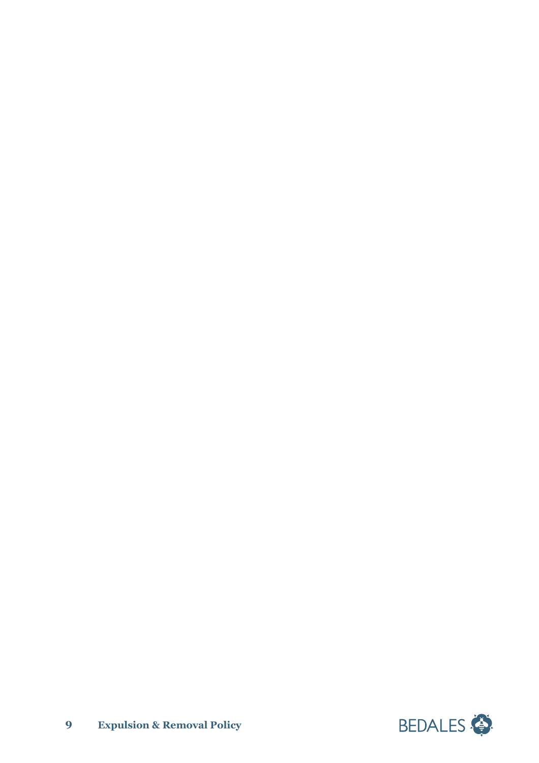